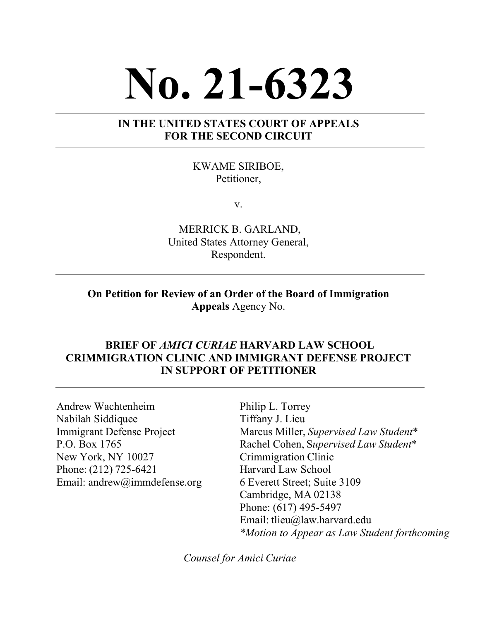# **No. 21-6323**

#### **IN THE UNITED STATES COURT OF APPEALS FOR THE SECOND CIRCUIT**

KWAME SIRIBOE, Petitioner,

v.

MERRICK B. GARLAND, United States Attorney General, Respondent.

#### **On Petition for Review of an Order of the Board of Immigration Appeals** Agency No.

#### **BRIEF OF** *AMICI CURIAE* **HARVARD LAW SCHOOL CRIMMIGRATION CLINIC AND IMMIGRANT DEFENSE PROJECT IN SUPPORT OF PETITIONER**

Andrew Wachtenheim Nabilah Siddiquee Immigrant Defense Project  P.O. Box 1765  New York, NY 10027  Phone: (212) 725-6421  Email: andrew@immdefense.org  Philip L. Torrey  Tiffany J. Lieu Marcus Miller, *Supervised Law Student*\* Rachel Cohen, S*upervised Law Student*\* Crimmigration Clinic  Harvard Law School  6 Everett Street; Suite 3109 Cambridge, MA 02138  Phone: (617) 495-5497 Email: tlieu@law.harvard.edu *\*Motion to Appear as Law Student forthcoming*

*Counsel for Amici Curiae*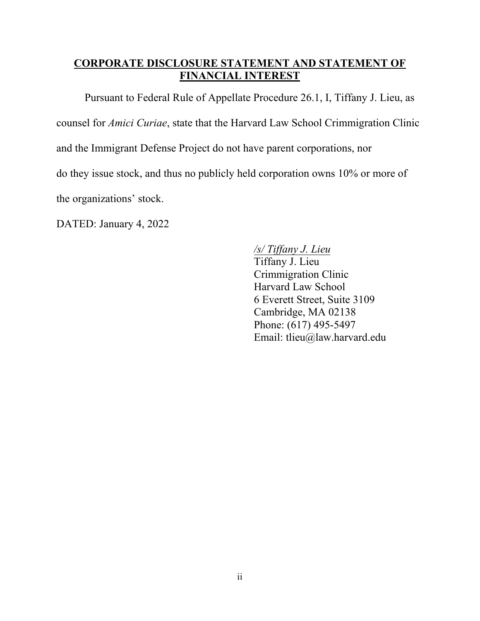#### **CORPORATE DISCLOSURE STATEMENT AND STATEMENT OF FINANCIAL INTEREST**

Pursuant to Federal Rule of Appellate Procedure 26.1, I, Tiffany J. Lieu, as counsel for *Amici Curiae*, state that the Harvard Law School Crimmigration Clinic and the Immigrant Defense Project do not have parent corporations, nor do they issue stock, and thus no publicly held corporation owns 10% or more of the organizations' stock.

DATED: January 4, 2022

## */s/ Tiffany J. Lieu*

Tiffany J. Lieu Crimmigration Clinic Harvard Law School 6 Everett Street, Suite 3109 Cambridge, MA 02138 Phone: (617) 495-5497 Email: tlieu@law.harvard.edu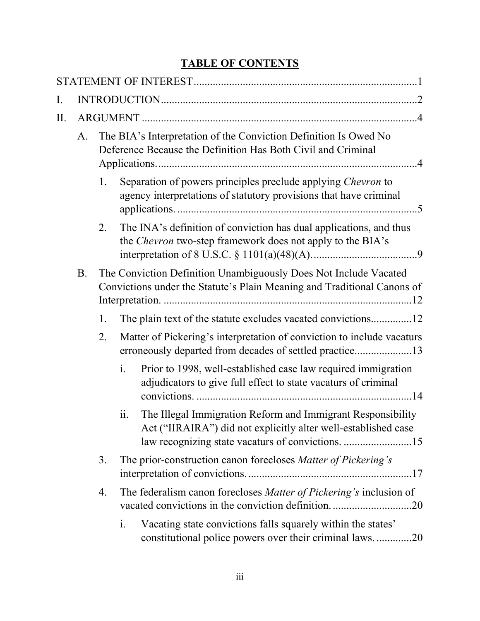# **TABLE OF CONTENTS**

| Ι. |           |    |                                                                                                                                  |                                                                                                                                                                                    |  |  |  |  |
|----|-----------|----|----------------------------------------------------------------------------------------------------------------------------------|------------------------------------------------------------------------------------------------------------------------------------------------------------------------------------|--|--|--|--|
| Π. |           |    |                                                                                                                                  |                                                                                                                                                                                    |  |  |  |  |
|    | A.        |    | The BIA's Interpretation of the Conviction Definition Is Owed No<br>Deference Because the Definition Has Both Civil and Criminal |                                                                                                                                                                                    |  |  |  |  |
|    |           | 1. |                                                                                                                                  | Separation of powers principles preclude applying Chevron to<br>agency interpretations of statutory provisions that have criminal                                                  |  |  |  |  |
|    |           | 2. |                                                                                                                                  | The INA's definition of conviction has dual applications, and thus<br>the Chevron two-step framework does not apply to the BIA's                                                   |  |  |  |  |
|    | <b>B.</b> |    |                                                                                                                                  | The Conviction Definition Unambiguously Does Not Include Vacated<br>Convictions under the Statute's Plain Meaning and Traditional Canons of                                        |  |  |  |  |
|    |           | 1. |                                                                                                                                  |                                                                                                                                                                                    |  |  |  |  |
|    |           | 2. |                                                                                                                                  | Matter of Pickering's interpretation of conviction to include vacaturs<br>erroneously departed from decades of settled practice13                                                  |  |  |  |  |
|    |           |    | $\mathbf{i}$ .                                                                                                                   | Prior to 1998, well-established case law required immigration<br>adjudicators to give full effect to state vacaturs of criminal                                                    |  |  |  |  |
|    |           |    | ii.                                                                                                                              | The Illegal Immigration Reform and Immigrant Responsibility<br>Act ("IIRAIRA") did not explicitly alter well-established case<br>law recognizing state vacaturs of convictions. 15 |  |  |  |  |
|    |           | 3. |                                                                                                                                  | The prior-construction canon forecloses Matter of Pickering's                                                                                                                      |  |  |  |  |
|    |           | 4. |                                                                                                                                  | The federalism canon forecloses Matter of Pickering's inclusion of                                                                                                                 |  |  |  |  |
|    |           |    | i.                                                                                                                               | Vacating state convictions falls squarely within the states'<br>constitutional police powers over their criminal laws20                                                            |  |  |  |  |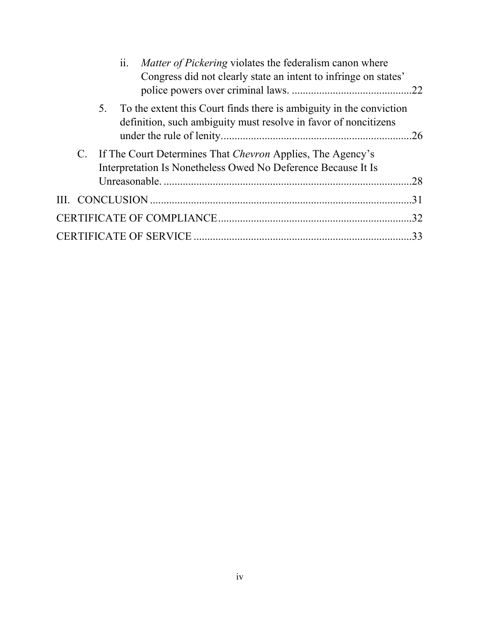| ii. |    | Matter of Pickering violates the federalism canon where<br>Congress did not clearly state an intent to infringe on states'             |  |  |
|-----|----|----------------------------------------------------------------------------------------------------------------------------------------|--|--|
|     | 5. | To the extent this Court finds there is ambiguity in the conviction<br>definition, such ambiguity must resolve in favor of noncitizens |  |  |
|     |    | C. If The Court Determines That Chevron Applies, The Agency's<br>Interpretation Is Nonetheless Owed No Deference Because It Is         |  |  |
|     |    |                                                                                                                                        |  |  |
|     |    |                                                                                                                                        |  |  |
|     |    |                                                                                                                                        |  |  |
|     |    |                                                                                                                                        |  |  |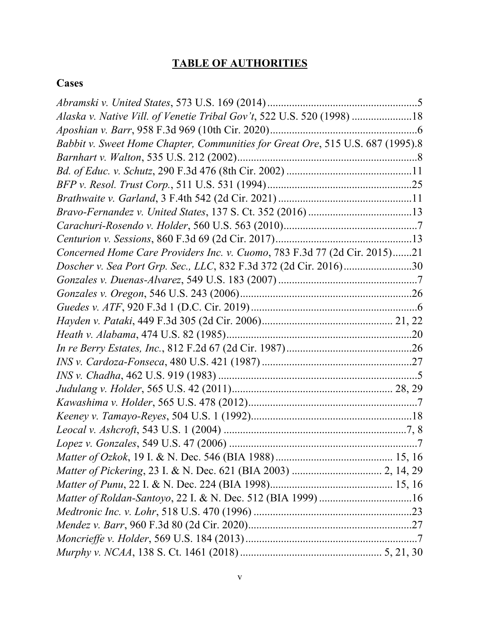# **TABLE OF AUTHORITIES**

## **Cases**

| Alaska v. Native Vill. of Venetie Tribal Gov't, 522 U.S. 520 (1998) 18         |
|--------------------------------------------------------------------------------|
|                                                                                |
| Babbit v. Sweet Home Chapter, Communities for Great Ore, 515 U.S. 687 (1995).8 |
|                                                                                |
|                                                                                |
|                                                                                |
|                                                                                |
|                                                                                |
|                                                                                |
|                                                                                |
| Concerned Home Care Providers Inc. v. Cuomo, 783 F.3d 77 (2d Cir. 2015)21      |
| Doscher v. Sea Port Grp. Sec., LLC, 832 F.3d 372 (2d Cir. 2016)30              |
|                                                                                |
|                                                                                |
|                                                                                |
|                                                                                |
|                                                                                |
|                                                                                |
|                                                                                |
|                                                                                |
|                                                                                |
|                                                                                |
|                                                                                |
|                                                                                |
|                                                                                |
|                                                                                |
|                                                                                |
|                                                                                |
|                                                                                |
|                                                                                |
|                                                                                |
|                                                                                |
|                                                                                |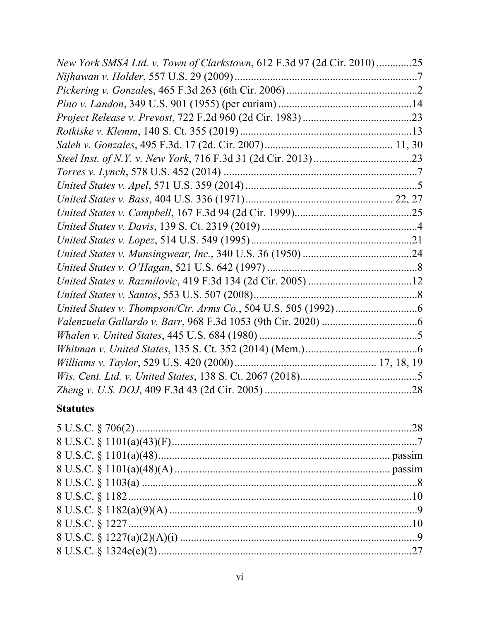| New York SMSA Ltd. v. Town of Clarkstown, 612 F.3d 97 (2d Cir. 2010)25 |  |
|------------------------------------------------------------------------|--|
|                                                                        |  |
|                                                                        |  |
|                                                                        |  |
|                                                                        |  |
|                                                                        |  |
|                                                                        |  |
|                                                                        |  |
|                                                                        |  |
|                                                                        |  |
|                                                                        |  |
|                                                                        |  |
|                                                                        |  |
|                                                                        |  |
|                                                                        |  |
|                                                                        |  |
|                                                                        |  |
|                                                                        |  |
|                                                                        |  |
|                                                                        |  |
|                                                                        |  |
|                                                                        |  |
|                                                                        |  |
|                                                                        |  |
|                                                                        |  |

## **Statutes**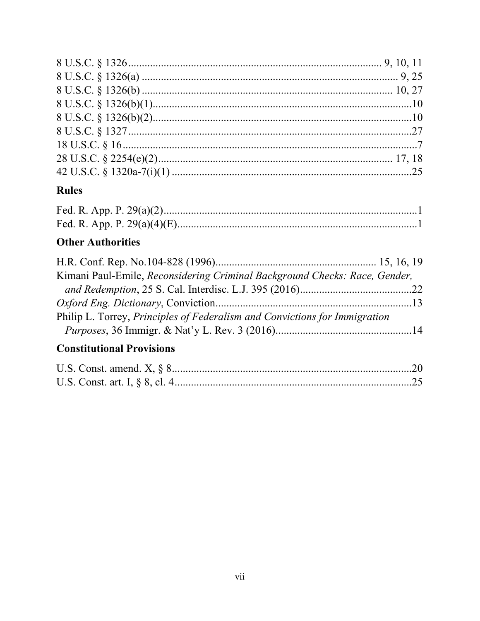## **Rules**

# **Other Authorities**

| Kimani Paul-Emile, Reconsidering Criminal Background Checks: Race, Gender,        |  |
|-----------------------------------------------------------------------------------|--|
|                                                                                   |  |
|                                                                                   |  |
| Philip L. Torrey, <i>Principles of Federalism and Convictions for Immigration</i> |  |
|                                                                                   |  |
|                                                                                   |  |

## **Constitutional Provisions**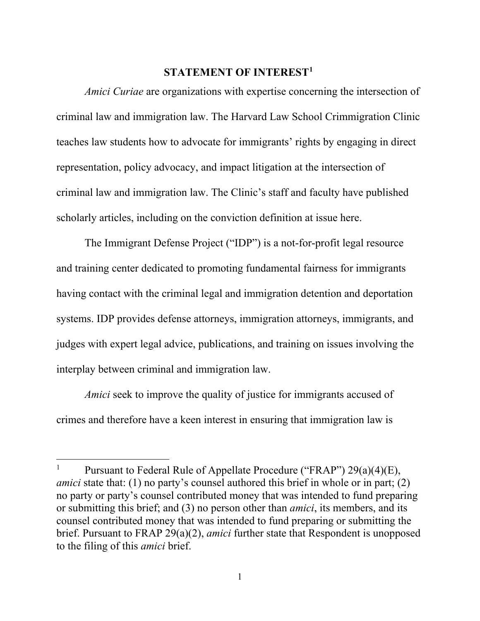#### **STATEMENT OF INTEREST[1](#page-7-1)**

<span id="page-7-0"></span>*Amici Curiae* are organizations with expertise concerning the intersection of criminal law and immigration law. The Harvard Law School Crimmigration Clinic teaches law students how to advocate for immigrants' rights by engaging in direct representation, policy advocacy, and impact litigation at the intersection of criminal law and immigration law. The Clinic's staff and faculty have published scholarly articles, including on the conviction definition at issue here.

The Immigrant Defense Project ("IDP") is a not-for-profit legal resource and training center dedicated to promoting fundamental fairness for immigrants having contact with the criminal legal and immigration detention and deportation systems. IDP provides defense attorneys, immigration attorneys, immigrants, and judges with expert legal advice, publications, and training on issues involving the interplay between criminal and immigration law.

*Amici* seek to improve the quality of justice for immigrants accused of crimes and therefore have a keen interest in ensuring that immigration law is

<span id="page-7-1"></span><sup>&</sup>lt;sup>1</sup> Pursuant to Federal Rule of Appellate Procedure ("FRAP")  $29(a)(4)(E)$ , *amici* state that: (1) no party's counsel authored this brief in whole or in part; (2) no party or party's counsel contributed money that was intended to fund preparing or submitting this brief; and (3) no person other than *amici*, its members, and its counsel contributed money that was intended to fund preparing or submitting the brief. Pursuant to FRAP 29(a)(2), *amici* further state that Respondent is unopposed to the filing of this *amici* brief.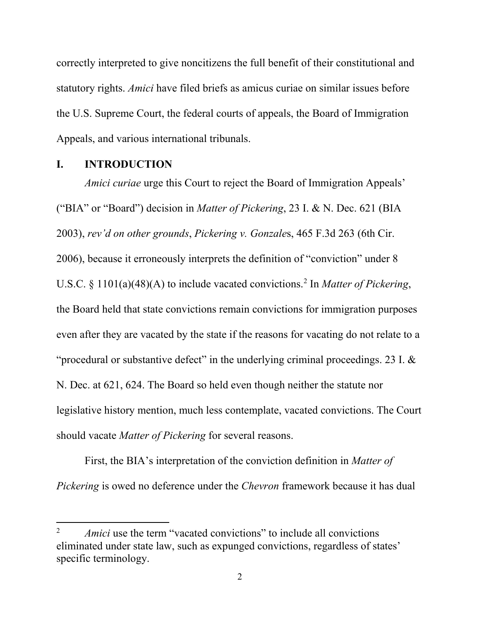correctly interpreted to give noncitizens the full benefit of their constitutional and statutory rights. *Amici* have filed briefs as amicus curiae on similar issues before the U.S. Supreme Court, the federal courts of appeals, the Board of Immigration Appeals, and various international tribunals.

#### <span id="page-8-0"></span>**I. INTRODUCTION**

l

*Amici curiae* urge this Court to reject the Board of Immigration Appeals' ("BIA" or "Board") decision in *Matter of Pickering*, 23 I. & N. Dec. 621 (BIA 2003), *rev'd on other grounds*, *Pickering v. Gonzale*s, 465 F.3d 263 (6th Cir. 2006), because it erroneously interprets the definition of "conviction" under 8 U.S.C. § 1101(a)(48)(A) to include vacated convictions. [2](#page-8-1) In *Matter of Pickering*, the Board held that state convictions remain convictions for immigration purposes even after they are vacated by the state if the reasons for vacating do not relate to a "procedural or substantive defect" in the underlying criminal proceedings. 23 I. & N. Dec. at 621, 624. The Board so held even though neither the statute nor legislative history mention, much less contemplate, vacated convictions. The Court should vacate *Matter of Pickering* for several reasons.

First, the BIA's interpretation of the conviction definition in *Matter of Pickering* is owed no deference under the *Chevron* framework because it has dual

<span id="page-8-1"></span><sup>&</sup>lt;sup>2</sup> *Amici* use the term "vacated convictions" to include all convictions eliminated under state law, such as expunged convictions, regardless of states' specific terminology.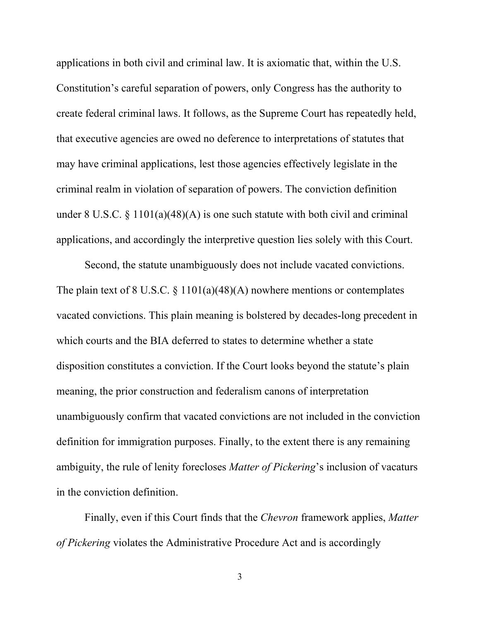applications in both civil and criminal law. It is axiomatic that, within the U.S. Constitution's careful separation of powers, only Congress has the authority to create federal criminal laws. It follows, as the Supreme Court has repeatedly held, that executive agencies are owed no deference to interpretations of statutes that may have criminal applications, lest those agencies effectively legislate in the criminal realm in violation of separation of powers. The conviction definition under 8 U.S.C. § 1101(a)(48)(A) is one such statute with both civil and criminal applications, and accordingly the interpretive question lies solely with this Court.

Second, the statute unambiguously does not include vacated convictions. The plain text of 8 U.S.C.  $\S 1101(a)(48)(A)$  nowhere mentions or contemplates vacated convictions. This plain meaning is bolstered by decades-long precedent in which courts and the BIA deferred to states to determine whether a state disposition constitutes a conviction. If the Court looks beyond the statute's plain meaning, the prior construction and federalism canons of interpretation unambiguously confirm that vacated convictions are not included in the conviction definition for immigration purposes. Finally, to the extent there is any remaining ambiguity, the rule of lenity forecloses *Matter of Pickering*'s inclusion of vacaturs in the conviction definition.

Finally, even if this Court finds that the *Chevron* framework applies, *Matter of Pickering* violates the Administrative Procedure Act and is accordingly

3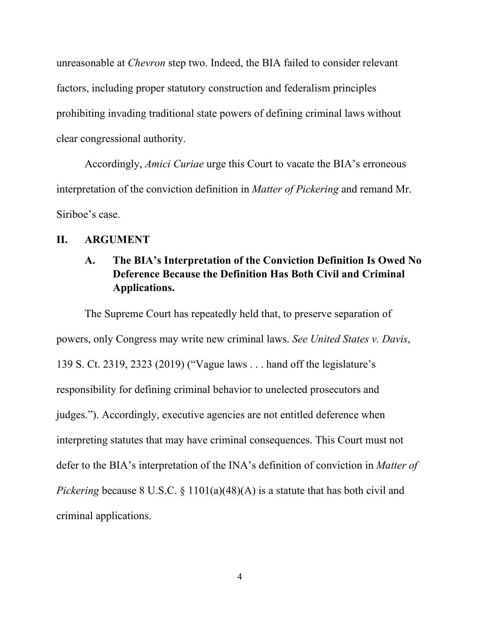unreasonable at *Chevron* step two. Indeed, the BIA failed to consider relevant factors, including proper statutory construction and federalism principles prohibiting invading traditional state powers of defining criminal laws without clear congressional authority.

Accordingly, *Amici Curiae* urge this Court to vacate the BIA's erroneous interpretation of the conviction definition in *Matter of Pickering* and remand Mr. Siriboe's case.

#### <span id="page-10-1"></span><span id="page-10-0"></span>**II. ARGUMENT**

## **A. The BIA's Interpretation of the Conviction Definition Is Owed No Deference Because the Definition Has Both Civil and Criminal Applications.**

The Supreme Court has repeatedly held that, to preserve separation of powers, only Congress may write new criminal laws. *See United States v. Davis*, 139 S. Ct. 2319, 2323 (2019) ("Vague laws . . . hand off the legislature's responsibility for defining criminal behavior to unelected prosecutors and judges."). Accordingly, executive agencies are not entitled deference when interpreting statutes that may have criminal consequences. This Court must not defer to the BIA's interpretation of the INA's definition of conviction in *Matter of Pickering* because 8 U.S.C. § 1101(a)(48)(A) is a statute that has both civil and criminal applications.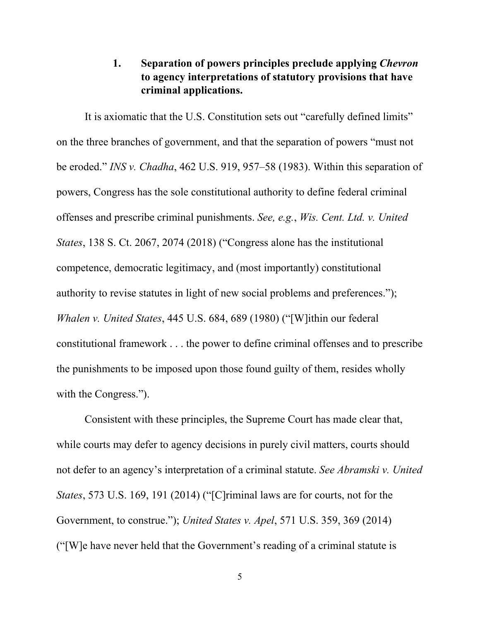## **1. Separation of powers principles preclude applying** *Chevron* **to agency interpretations of statutory provisions that have criminal applications.**

<span id="page-11-0"></span>It is axiomatic that the U.S. Constitution sets out "carefully defined limits" on the three branches of government, and that the separation of powers "must not be eroded." *INS v. Chadha*, 462 U.S. 919, 957–58 (1983). Within this separation of powers, Congress has the sole constitutional authority to define federal criminal offenses and prescribe criminal punishments. *See, e.g.*, *Wis. Cent. Ltd. v. United States*, 138 S. Ct. 2067, 2074 (2018) ("Congress alone has the institutional competence, democratic legitimacy, and (most importantly) constitutional authority to revise statutes in light of new social problems and preferences."); *Whalen v. United States*, 445 U.S. 684, 689 (1980) ("[W]ithin our federal constitutional framework . . . the power to define criminal offenses and to prescribe the punishments to be imposed upon those found guilty of them, resides wholly with the Congress.").

Consistent with these principles, the Supreme Court has made clear that, while courts may defer to agency decisions in purely civil matters, courts should not defer to an agency's interpretation of a criminal statute. *See Abramski v. United States*, 573 U.S. 169, 191 (2014) ("[C]riminal laws are for courts, not for the Government, to construe."); *United States v. Apel*, 571 U.S. 359, 369 (2014) ("[W]e have never held that the Government's reading of a criminal statute is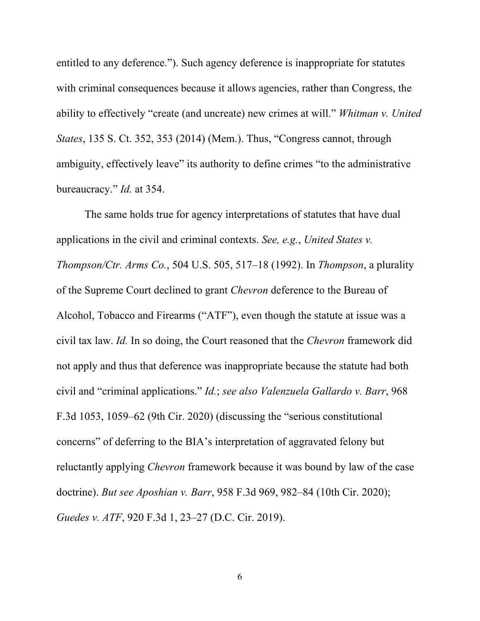entitled to any deference."). Such agency deference is inappropriate for statutes with criminal consequences because it allows agencies, rather than Congress, the ability to effectively "create (and uncreate) new crimes at will." *Whitman v. United States*, 135 S. Ct. 352, 353 (2014) (Mem.). Thus, "Congress cannot, through ambiguity, effectively leave" its authority to define crimes "to the administrative bureaucracy." *Id.* at 354.

The same holds true for agency interpretations of statutes that have dual applications in the civil and criminal contexts. *See, e.g.*, *United States v. Thompson/Ctr. Arms Co.*, 504 U.S. 505, 517–18 (1992). In *Thompson*, a plurality of the Supreme Court declined to grant *Chevron* deference to the Bureau of Alcohol, Tobacco and Firearms ("ATF"), even though the statute at issue was a civil tax law. *Id.* In so doing, the Court reasoned that the *Chevron* framework did not apply and thus that deference was inappropriate because the statute had both civil and "criminal applications." *Id.*; *see also Valenzuela Gallardo v. Barr*, 968 F.3d 1053, 1059–62 (9th Cir. 2020) (discussing the "serious constitutional concerns" of deferring to the BIA's interpretation of aggravated felony but reluctantly applying *Chevron* framework because it was bound by law of the case doctrine). *But see Aposhian v. Barr*, 958 F.3d 969, 982–84 (10th Cir. 2020); *Guedes v. ATF*, 920 F.3d 1, 23–27 (D.C. Cir. 2019).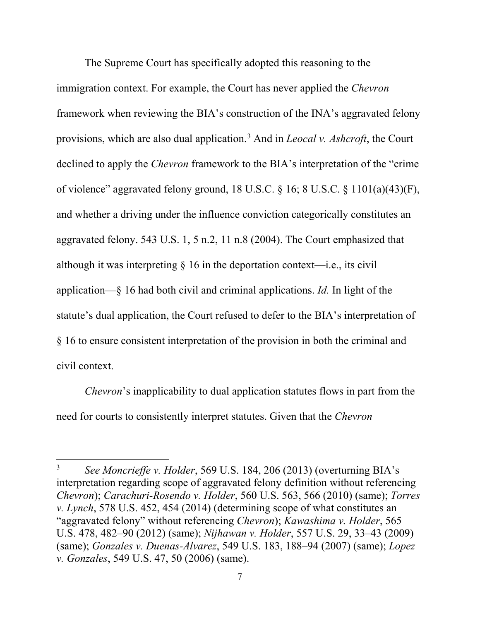The Supreme Court has specifically adopted this reasoning to the immigration context. For example, the Court has never applied the *Chevron*  framework when reviewing the BIA's construction of the INA's aggravated felony provisions, which are also dual application.[3](#page-13-0) And in *Leocal v. Ashcroft*, the Court declined to apply the *Chevron* framework to the BIA's interpretation of the "crime of violence" aggravated felony ground, 18 U.S.C. § 16; 8 U.S.C. § 1101(a)(43)(F), and whether a driving under the influence conviction categorically constitutes an aggravated felony. 543 U.S. 1, 5 n.2, 11 n.8 (2004). The Court emphasized that although it was interpreting  $\S$  16 in the deportation context—i.e., its civil application—§ 16 had both civil and criminal applications. *Id.* In light of the statute's dual application, the Court refused to defer to the BIA's interpretation of § 16 to ensure consistent interpretation of the provision in both the criminal and civil context.

*Chevron*'s inapplicability to dual application statutes flows in part from the need for courts to consistently interpret statutes. Given that the *Chevron*

<span id="page-13-0"></span><sup>3</sup> *See Moncrieffe v. Holder*, 569 U.S. 184, 206 (2013) (overturning BIA's interpretation regarding scope of aggravated felony definition without referencing *Chevron*); *Carachuri-Rosendo v. Holder*, 560 U.S. 563, 566 (2010) (same); *Torres v. Lynch*, 578 U.S. 452, 454 (2014) (determining scope of what constitutes an "aggravated felony" without referencing *Chevron*); *Kawashima v. Holder*, 565 U.S. 478, 482–90 (2012) (same); *Nijhawan v. Holder*, 557 U.S. 29, 33–43 (2009) (same); *Gonzales v. Duenas-Alvarez*, 549 U.S. 183, 188–94 (2007) (same); *Lopez v. Gonzales*, 549 U.S. 47, 50 (2006) (same).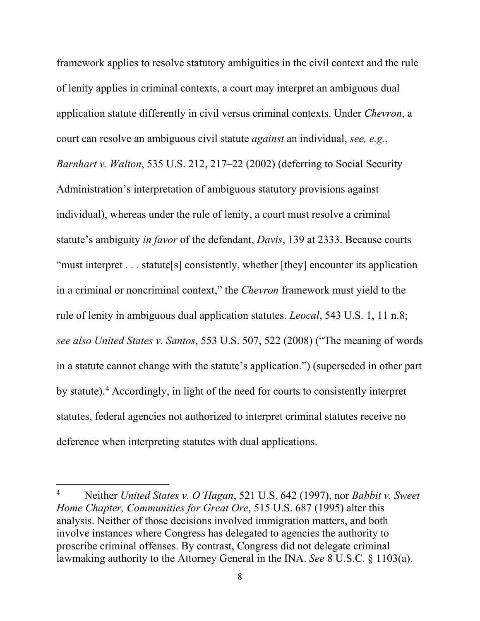framework applies to resolve statutory ambiguities in the civil context and the rule of lenity applies in criminal contexts, a court may interpret an ambiguous dual application statute differently in civil versus criminal contexts. Under *Chevron*, a court can resolve an ambiguous civil statute *against* an individual, *see, e.g.*, *Barnhart v. Walton*, 535 U.S. 212, 217–22 (2002) (deferring to Social Security Administration's interpretation of ambiguous statutory provisions against individual), whereas under the rule of lenity, a court must resolve a criminal statute's ambiguity *in favor* of the defendant, *Davis*, 139 at 2333. Because courts "must interpret . . . statute<sup>[s]</sup> consistently, whether [they] encounter its application in a criminal or noncriminal context," the *Chevron* framework must yield to the rule of lenity in ambiguous dual application statutes. *Leocal*, 543 U.S. 1, 11 n.8; *see also United States v. Santos*, 553 U.S. 507, 522 (2008) ("The meaning of words in a statute cannot change with the statute's application.") (superseded in other part by statute).<sup>[4](#page-14-0)</sup> Accordingly, in light of the need for courts to consistently interpret statutes, federal agencies not authorized to interpret criminal statutes receive no deference when interpreting statutes with dual applications.

<span id="page-14-0"></span><sup>4</sup> Neither *United States v. O'Hagan*, 521 U.S. 642 (1997), nor *Babbit v. Sweet Home Chapter, Communities for Great Ore*, 515 U.S. 687 (1995) alter this analysis. Neither of those decisions involved immigration matters, and both involve instances where Congress has delegated to agencies the authority to proscribe criminal offenses. By contrast, Congress did not delegate criminal lawmaking authority to the Attorney General in the INA. *See* 8 U.S.C. § 1103(a).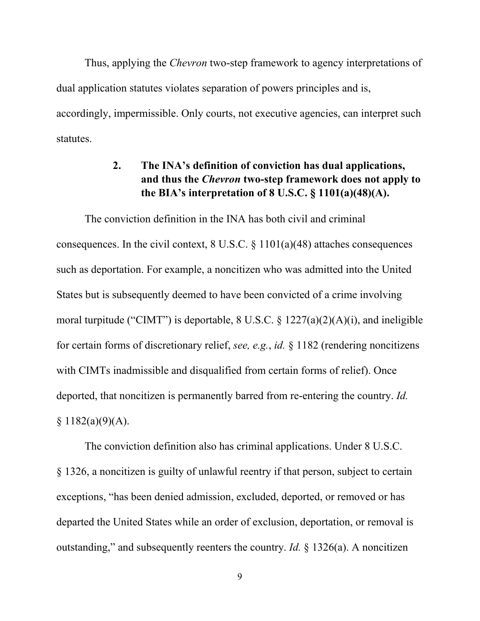Thus, applying the *Chevron* two-step framework to agency interpretations of dual application statutes violates separation of powers principles and is, accordingly, impermissible. Only courts, not executive agencies, can interpret such statutes.

## <span id="page-15-0"></span>**2. The INA's definition of conviction has dual applications, and thus the** *Chevron* **two-step framework does not apply to the BIA's interpretation of 8 U.S.C. § 1101(a)(48)(A).**

The conviction definition in the INA has both civil and criminal consequences. In the civil context,  $8 \text{ U.S.C.} \$   $1101(a)(48)$  attaches consequences such as deportation. For example, a noncitizen who was admitted into the United States but is subsequently deemed to have been convicted of a crime involving moral turpitude ("CIMT") is deportable,  $8 \text{ U.S.C.} \$ §  $1227(a)(2)(A)(i)$ , and ineligible for certain forms of discretionary relief, *see, e.g.*, *id.* § 1182 (rendering noncitizens with CIMTs inadmissible and disqualified from certain forms of relief). Once deported, that noncitizen is permanently barred from re-entering the country. *Id.*  $§ 1182(a)(9)(A).$ 

The conviction definition also has criminal applications. Under 8 U.S.C. § 1326, a noncitizen is guilty of unlawful reentry if that person, subject to certain exceptions, "has been denied admission, excluded, deported, or removed or has departed the United States while an order of exclusion, deportation, or removal is outstanding," and subsequently reenters the country. *Id.* § 1326(a). A noncitizen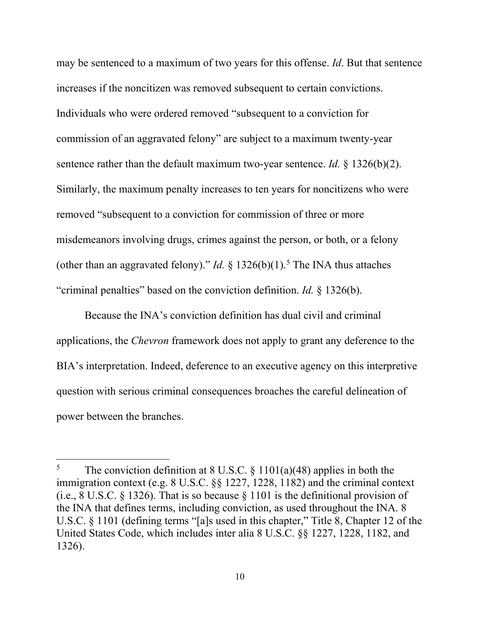may be sentenced to a maximum of two years for this offense. *Id*. But that sentence increases if the noncitizen was removed subsequent to certain convictions. Individuals who were ordered removed "subsequent to a conviction for commission of an aggravated felony" are subject to a maximum twenty-year sentence rather than the default maximum two-year sentence. *Id.* § 1326(b)(2). Similarly, the maximum penalty increases to ten years for noncitizens who were removed "subsequent to a conviction for commission of three or more misdemeanors involving drugs, crimes against the person, or both, or a felony (other than an aggravated felony)." *Id.*  $\S 1326(b)(1)$ .<sup>[5](#page-16-0)</sup> The INA thus attaches "criminal penalties" based on the conviction definition. *Id.* § 1326(b).

Because the INA's conviction definition has dual civil and criminal applications, the *Chevron* framework does not apply to grant any deference to the BIA's interpretation. Indeed, deference to an executive agency on this interpretive question with serious criminal consequences broaches the careful delineation of power between the branches.

<span id="page-16-0"></span><sup>&</sup>lt;sup>5</sup> The conviction definition at 8 U.S.C.  $\S$  1101(a)(48) applies in both the immigration context (e.g. 8 U.S.C. §§ 1227, 1228, 1182) and the criminal context (i.e., 8 U.S.C. § 1326). That is so because § 1101 is the definitional provision of the INA that defines terms, including conviction, as used throughout the INA. 8 U.S.C. § 1101 (defining terms "[a]s used in this chapter," Title 8, Chapter 12 of the United States Code, which includes inter alia 8 U.S.C. §§ 1227, 1228, 1182, and 1326).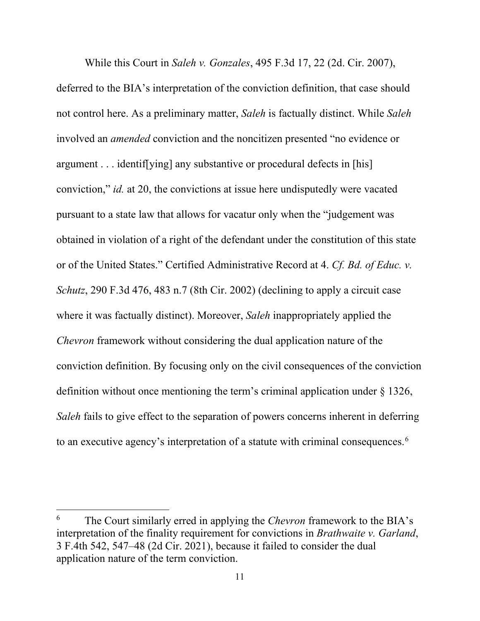While this Court in *Saleh v. Gonzales*, 495 F.3d 17, 22 (2d. Cir. 2007), deferred to the BIA's interpretation of the conviction definition, that case should not control here. As a preliminary matter, *Saleh* is factually distinct. While *Saleh* involved an *amended* conviction and the noncitizen presented "no evidence or argument . . . identif[ying] any substantive or procedural defects in [his] conviction," *id.* at 20, the convictions at issue here undisputedly were vacated pursuant to a state law that allows for vacatur only when the "judgement was obtained in violation of a right of the defendant under the constitution of this state or of the United States." Certified Administrative Record at 4. *Cf. Bd. of Educ. v. Schutz*, 290 F.3d 476, 483 n.7 (8th Cir. 2002) (declining to apply a circuit case where it was factually distinct). Moreover, *Saleh* inappropriately applied the *Chevron* framework without considering the dual application nature of the conviction definition. By focusing only on the civil consequences of the conviction definition without once mentioning the term's criminal application under § 1326, *Saleh* fails to give effect to the separation of powers concerns inherent in deferring to an executive agency's interpretation of a statute with criminal consequences. [6](#page-17-0)

<span id="page-17-0"></span><sup>6</sup> The Court similarly erred in applying the *Chevron* framework to the BIA's interpretation of the finality requirement for convictions in *Brathwaite v. Garland*, 3 F.4th 542, 547–48 (2d Cir. 2021), because it failed to consider the dual application nature of the term conviction.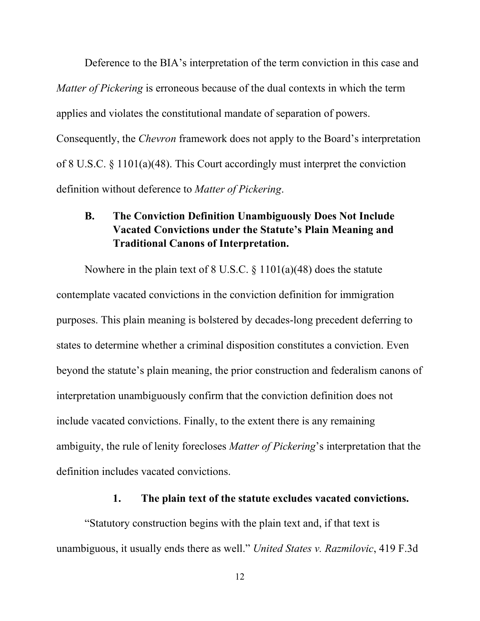Deference to the BIA's interpretation of the term conviction in this case and *Matter of Pickering* is erroneous because of the dual contexts in which the term applies and violates the constitutional mandate of separation of powers. Consequently, the *Chevron* framework does not apply to the Board's interpretation of 8 U.S.C. § 1101(a)(48). This Court accordingly must interpret the conviction definition without deference to *Matter of Pickering*.

#### <span id="page-18-0"></span>**B. The Conviction Definition Unambiguously Does Not Include Vacated Convictions under the Statute's Plain Meaning and Traditional Canons of Interpretation.**

Nowhere in the plain text of  $8$  U.S.C.  $\S$  1101(a)(48) does the statute contemplate vacated convictions in the conviction definition for immigration purposes. This plain meaning is bolstered by decades-long precedent deferring to states to determine whether a criminal disposition constitutes a conviction. Even beyond the statute's plain meaning, the prior construction and federalism canons of interpretation unambiguously confirm that the conviction definition does not include vacated convictions. Finally, to the extent there is any remaining ambiguity, the rule of lenity forecloses *Matter of Pickering*'s interpretation that the definition includes vacated convictions.

#### **1. The plain text of the statute excludes vacated convictions.**

<span id="page-18-1"></span>"Statutory construction begins with the plain text and, if that text is unambiguous, it usually ends there as well." *United States v. Razmilovic*, 419 F.3d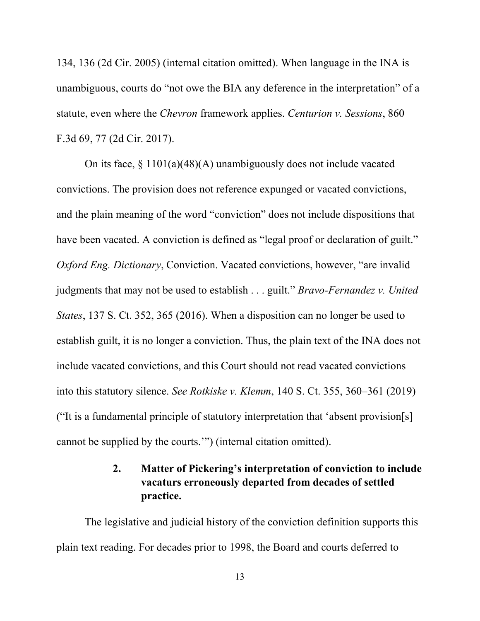134, 136 (2d Cir. 2005) (internal citation omitted). When language in the INA is unambiguous, courts do "not owe the BIA any deference in the interpretation" of a statute, even where the *Chevron* framework applies. *Centurion v. Sessions*, 860 F.3d 69, 77 (2d Cir. 2017).

On its face, § 1101(a)(48)(A) unambiguously does not include vacated convictions. The provision does not reference expunged or vacated convictions, and the plain meaning of the word "conviction" does not include dispositions that have been vacated. A conviction is defined as "legal proof or declaration of guilt." *Oxford Eng. Dictionary*, Conviction. Vacated convictions, however, "are invalid judgments that may not be used to establish . . . guilt." *Bravo-Fernandez v. United States*, 137 S. Ct. 352, 365 (2016). When a disposition can no longer be used to establish guilt, it is no longer a conviction. Thus, the plain text of the INA does not include vacated convictions, and this Court should not read vacated convictions into this statutory silence. *See Rotkiske v. Klemm*, 140 S. Ct. 355, 360–361 (2019) ("It is a fundamental principle of statutory interpretation that 'absent provision[s] cannot be supplied by the courts.'") (internal citation omitted).

## **2. Matter of Pickering's interpretation of conviction to include vacaturs erroneously departed from decades of settled practice.**

<span id="page-19-0"></span>The legislative and judicial history of the conviction definition supports this plain text reading. For decades prior to 1998, the Board and courts deferred to

13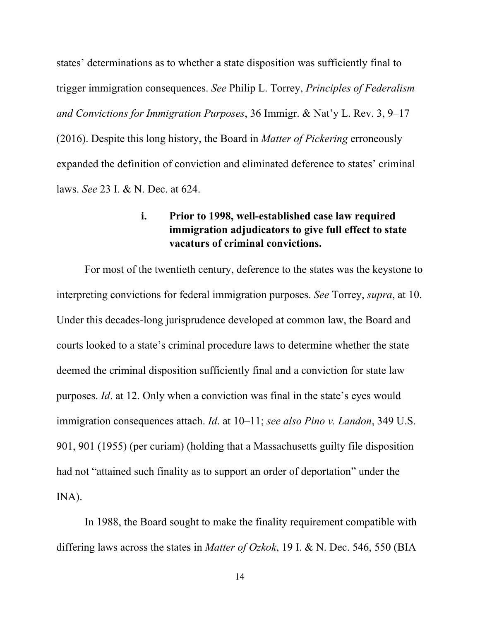states' determinations as to whether a state disposition was sufficiently final to trigger immigration consequences. *See* Philip L. Torrey, *Principles of Federalism and Convictions for Immigration Purposes*, 36 Immigr. & Nat'y L. Rev. 3, 9–17 (2016). Despite this long history, the Board in *Matter of Pickering* erroneously expanded the definition of conviction and eliminated deference to states' criminal laws. *See* 23 I. & N. Dec. at 624.

#### **i. Prior to 1998, well-established case law required immigration adjudicators to give full effect to state vacaturs of criminal convictions.**

<span id="page-20-0"></span>For most of the twentieth century, deference to the states was the keystone to interpreting convictions for federal immigration purposes. *See* Torrey, *supra*, at 10. Under this decades-long jurisprudence developed at common law, the Board and courts looked to a state's criminal procedure laws to determine whether the state deemed the criminal disposition sufficiently final and a conviction for state law purposes. *Id*. at 12. Only when a conviction was final in the state's eyes would immigration consequences attach. *Id*. at 10–11; *see also Pino v. Landon*, 349 U.S. 901, 901 (1955) (per curiam) (holding that a Massachusetts guilty file disposition had not "attained such finality as to support an order of deportation" under the INA).

In 1988, the Board sought to make the finality requirement compatible with differing laws across the states in *Matter of Ozkok*, 19 I. & N. Dec. 546, 550 (BIA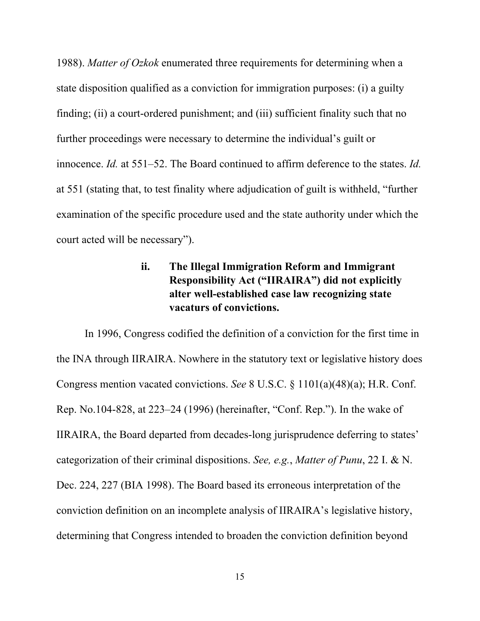1988). *Matter of Ozkok* enumerated three requirements for determining when a state disposition qualified as a conviction for immigration purposes: (i) a guilty finding; (ii) a court-ordered punishment; and (iii) sufficient finality such that no further proceedings were necessary to determine the individual's guilt or innocence. *Id.* at 551–52. The Board continued to affirm deference to the states. *Id.* at 551 (stating that, to test finality where adjudication of guilt is withheld, "further examination of the specific procedure used and the state authority under which the court acted will be necessary").

## **ii. The Illegal Immigration Reform and Immigrant Responsibility Act ("IIRAIRA") did not explicitly alter well-established case law recognizing state vacaturs of convictions.**

<span id="page-21-0"></span>In 1996, Congress codified the definition of a conviction for the first time in the INA through IIRAIRA. Nowhere in the statutory text or legislative history does Congress mention vacated convictions. *See* 8 U.S.C. § 1101(a)(48)(a); H.R. Conf. Rep. No.104-828, at 223–24 (1996) (hereinafter, "Conf. Rep."). In the wake of IIRAIRA, the Board departed from decades-long jurisprudence deferring to states' categorization of their criminal dispositions. *See, e.g.*, *Matter of Punu*, 22 I. & N. Dec. 224, 227 (BIA 1998). The Board based its erroneous interpretation of the conviction definition on an incomplete analysis of IIRAIRA's legislative history, determining that Congress intended to broaden the conviction definition beyond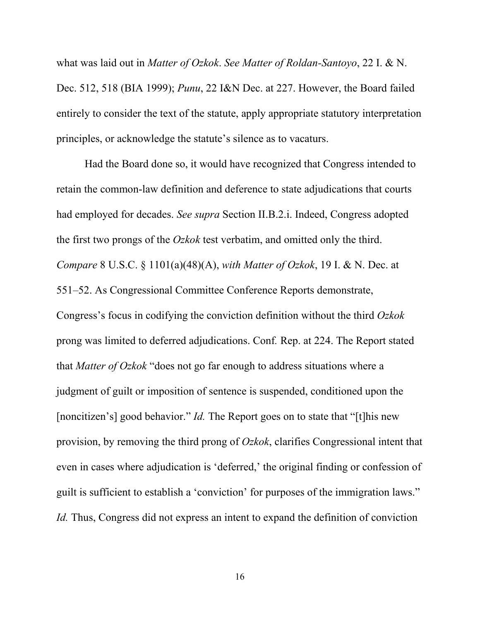what was laid out in *Matter of Ozkok*. *See Matter of Roldan-Santoyo*, 22 I. & N. Dec. 512, 518 (BIA 1999); *Punu*, 22 I&N Dec. at 227. However, the Board failed entirely to consider the text of the statute, apply appropriate statutory interpretation principles, or acknowledge the statute's silence as to vacaturs.

Had the Board done so, it would have recognized that Congress intended to retain the common-law definition and deference to state adjudications that courts had employed for decades. *See supra* Section II.B.2.i. Indeed, Congress adopted the first two prongs of the *Ozkok* test verbatim, and omitted only the third. *Compare* 8 U.S.C. § 1101(a)(48)(A), *with Matter of Ozkok*, 19 I. & N. Dec. at 551–52. As Congressional Committee Conference Reports demonstrate, Congress's focus in codifying the conviction definition without the third *Ozkok*  prong was limited to deferred adjudications. Conf*.* Rep. at 224. The Report stated that *Matter of Ozkok* "does not go far enough to address situations where a judgment of guilt or imposition of sentence is suspended, conditioned upon the [noncitizen's] good behavior." *Id.* The Report goes on to state that "[t]his new provision, by removing the third prong of *Ozkok*, clarifies Congressional intent that even in cases where adjudication is 'deferred,' the original finding or confession of guilt is sufficient to establish a 'conviction' for purposes of the immigration laws." *Id.* Thus, Congress did not express an intent to expand the definition of conviction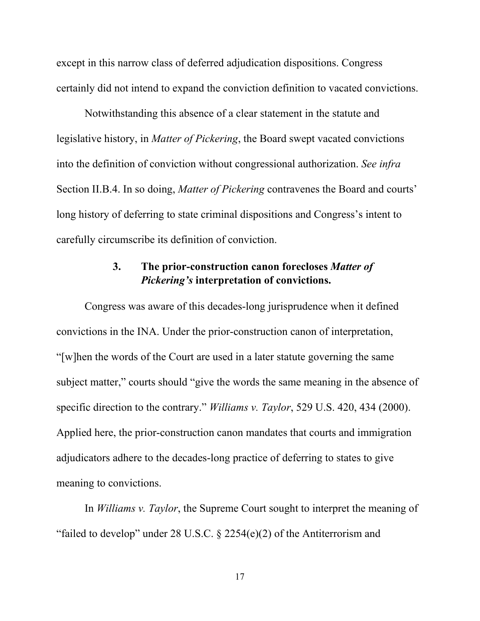except in this narrow class of deferred adjudication dispositions. Congress certainly did not intend to expand the conviction definition to vacated convictions.

Notwithstanding this absence of a clear statement in the statute and legislative history, in *Matter of Pickering*, the Board swept vacated convictions into the definition of conviction without congressional authorization. *See infra* Section II.B.4. In so doing, *Matter of Pickering* contravenes the Board and courts' long history of deferring to state criminal dispositions and Congress's intent to carefully circumscribe its definition of conviction.

#### **3. The prior-construction canon forecloses** *Matter of Pickering's* **interpretation of convictions.**

<span id="page-23-0"></span>Congress was aware of this decades-long jurisprudence when it defined convictions in the INA. Under the prior-construction canon of interpretation, "[w]hen the words of the Court are used in a later statute governing the same subject matter," courts should "give the words the same meaning in the absence of specific direction to the contrary." *Williams v. Taylor*, 529 U.S. 420, 434 (2000). Applied here, the prior-construction canon mandates that courts and immigration adjudicators adhere to the decades-long practice of deferring to states to give meaning to convictions.

In *Williams v. Taylor*, the Supreme Court sought to interpret the meaning of "failed to develop" under 28 U.S.C.  $\S$  2254(e)(2) of the Antiterrorism and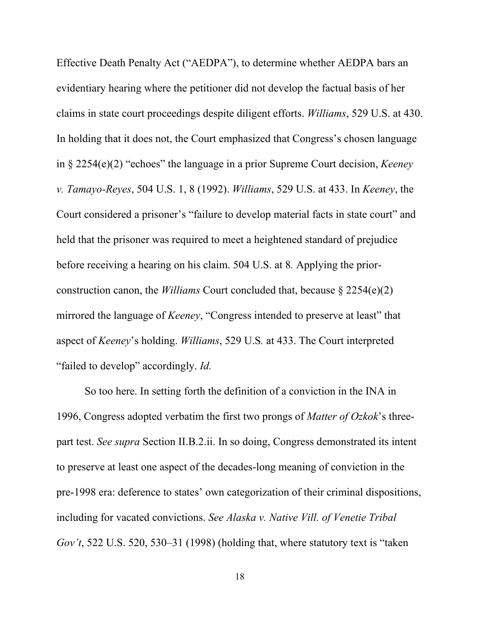Effective Death Penalty Act ("AEDPA"), to determine whether AEDPA bars an evidentiary hearing where the petitioner did not develop the factual basis of her claims in state court proceedings despite diligent efforts. *Williams*, 529 U.S. at 430. In holding that it does not, the Court emphasized that Congress's chosen language in § 2254(e)(2) "echoes" the language in a prior Supreme Court decision, *Keeney v. Tamayo-Reyes*, 504 U.S. 1, 8 (1992). *Williams*, 529 U.S. at 433. In *Keeney*, the Court considered a prisoner's "failure to develop material facts in state court" and held that the prisoner was required to meet a heightened standard of prejudice before receiving a hearing on his claim. 504 U.S. at 8*.* Applying the priorconstruction canon, the *Williams* Court concluded that, because § 2254(e)(2) mirrored the language of *Keeney*, "Congress intended to preserve at least" that aspect of *Keeney*'s holding. *Williams*, 529 U.S*.* at 433. The Court interpreted "failed to develop" accordingly. *Id.*

So too here. In setting forth the definition of a conviction in the INA in 1996, Congress adopted verbatim the first two prongs of *Matter of Ozkok*'s threepart test. *See supra* Section II.B.2.ii. In so doing, Congress demonstrated its intent to preserve at least one aspect of the decades-long meaning of conviction in the pre-1998 era: deference to states' own categorization of their criminal dispositions, including for vacated convictions. *See Alaska v. Native Vill. of Venetie Tribal Gov't*, 522 U.S. 520, 530–31 (1998) (holding that, where statutory text is "taken

18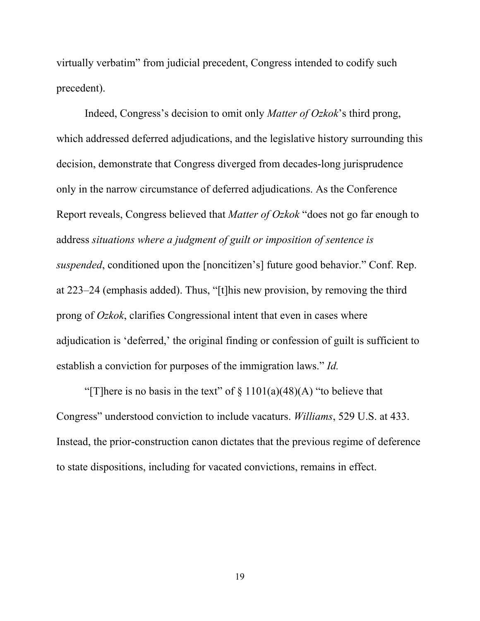virtually verbatim" from judicial precedent, Congress intended to codify such precedent).

Indeed, Congress's decision to omit only *Matter of Ozkok*'s third prong, which addressed deferred adjudications, and the legislative history surrounding this decision, demonstrate that Congress diverged from decades-long jurisprudence only in the narrow circumstance of deferred adjudications. As the Conference Report reveals, Congress believed that *Matter of Ozkok* "does not go far enough to address *situations where a judgment of guilt or imposition of sentence is suspended*, conditioned upon the [noncitizen's] future good behavior." Conf. Rep. at 223–24 (emphasis added). Thus, "[t]his new provision, by removing the third prong of *Ozkok*, clarifies Congressional intent that even in cases where adjudication is 'deferred,' the original finding or confession of guilt is sufficient to establish a conviction for purposes of the immigration laws." *Id.*

"[T]here is no basis in the text" of  $\S$  1101(a)(48)(A) "to believe that Congress" understood conviction to include vacaturs. *Williams*, 529 U.S. at 433. Instead, the prior-construction canon dictates that the previous regime of deference to state dispositions, including for vacated convictions, remains in effect.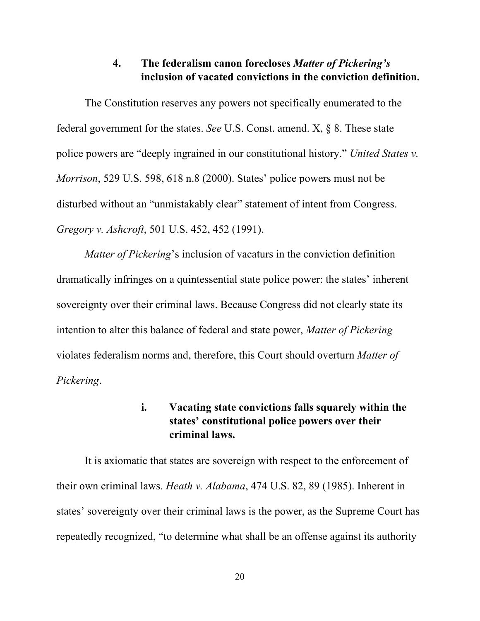#### **4. The federalism canon forecloses** *Matter of Pickering's*  **inclusion of vacated convictions in the conviction definition.**

<span id="page-26-0"></span>The Constitution reserves any powers not specifically enumerated to the federal government for the states. *See* U.S. Const. amend. X, § 8. These state police powers are "deeply ingrained in our constitutional history." *United States v. Morrison*, 529 U.S. 598, 618 n.8 (2000). States' police powers must not be disturbed without an "unmistakably clear" statement of intent from Congress. *Gregory v. Ashcroft*, 501 U.S. 452, 452 (1991).

*Matter of Pickering*'s inclusion of vacaturs in the conviction definition dramatically infringes on a quintessential state police power: the states' inherent sovereignty over their criminal laws. Because Congress did not clearly state its intention to alter this balance of federal and state power, *Matter of Pickering* violates federalism norms and, therefore, this Court should overturn *Matter of Pickering*.

#### **i. Vacating state convictions falls squarely within the states' constitutional police powers over their criminal laws.**

<span id="page-26-1"></span>It is axiomatic that states are sovereign with respect to the enforcement of their own criminal laws. *Heath v. Alabama*, 474 U.S. 82, 89 (1985). Inherent in states' sovereignty over their criminal laws is the power, as the Supreme Court has repeatedly recognized, "to determine what shall be an offense against its authority

20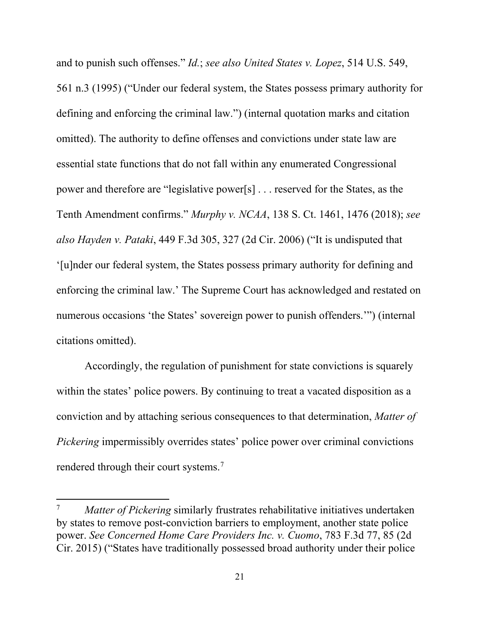and to punish such offenses." *Id.*; *see also United States v. Lopez*, 514 U.S. 549, 561 n.3 (1995) ("Under our federal system, the States possess primary authority for defining and enforcing the criminal law.") (internal quotation marks and citation omitted). The authority to define offenses and convictions under state law are essential state functions that do not fall within any enumerated Congressional power and therefore are "legislative power[s] . . . reserved for the States, as the Tenth Amendment confirms." *Murphy v. NCAA*, 138 S. Ct. 1461, 1476 (2018); *see also Hayden v. Pataki*, 449 F.3d 305, 327 (2d Cir. 2006) ("It is undisputed that '[u]nder our federal system, the States possess primary authority for defining and enforcing the criminal law.' The Supreme Court has acknowledged and restated on numerous occasions 'the States' sovereign power to punish offenders.'") (internal citations omitted).

Accordingly, the regulation of punishment for state convictions is squarely within the states' police powers. By continuing to treat a vacated disposition as a conviction and by attaching serious consequences to that determination, *Matter of Pickering* impermissibly overrides states' police power over criminal convictions rendered through their court systems.<sup>[7](#page-27-0)</sup>

 $\overline{\phantom{a}}$ 

<span id="page-27-0"></span>*Matter of Pickering* similarly frustrates rehabilitative initiatives undertaken by states to remove post-conviction barriers to employment, another state police power. *See Concerned Home Care Providers Inc. v. Cuomo*, 783 F.3d 77, 85 (2d Cir. 2015) ("States have traditionally possessed broad authority under their police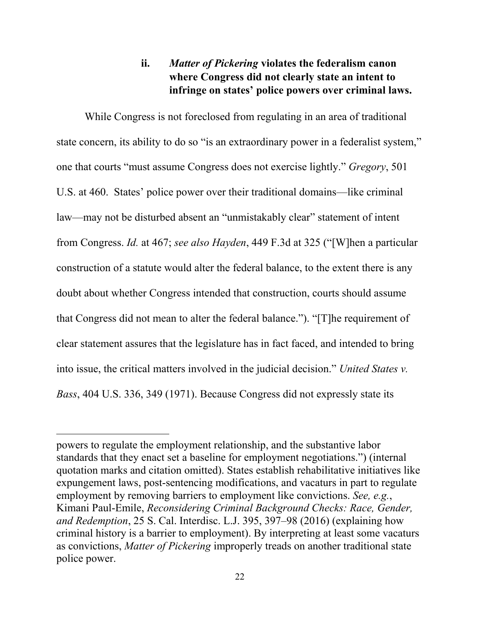## **ii.** *Matter of Pickering* **violates the federalism canon where Congress did not clearly state an intent to infringe on states' police powers over criminal laws.**

<span id="page-28-0"></span>While Congress is not foreclosed from regulating in an area of traditional state concern, its ability to do so "is an extraordinary power in a federalist system," one that courts "must assume Congress does not exercise lightly." *Gregory*, 501 U.S. at 460. States' police power over their traditional domains—like criminal law—may not be disturbed absent an "unmistakably clear" statement of intent from Congress. *Id.* at 467; *see also Hayden*, 449 F.3d at 325 ("[W]hen a particular construction of a statute would alter the federal balance, to the extent there is any doubt about whether Congress intended that construction, courts should assume that Congress did not mean to alter the federal balance."). "[T]he requirement of clear statement assures that the legislature has in fact faced, and intended to bring into issue, the critical matters involved in the judicial decision." *United States v. Bass*, 404 U.S. 336, 349 (1971). Because Congress did not expressly state its

 $\overline{\phantom{a}}$ 

powers to regulate the employment relationship, and the substantive labor standards that they enact set a baseline for employment negotiations.") (internal quotation marks and citation omitted). States establish rehabilitative initiatives like expungement laws, post-sentencing modifications, and vacaturs in part to regulate employment by removing barriers to employment like convictions. *See, e.g.*, Kimani Paul-Emile, *Reconsidering Criminal Background Checks: Race, Gender, and Redemption*, 25 S. Cal. Interdisc. L.J. 395, 397–98 (2016) (explaining how criminal history is a barrier to employment). By interpreting at least some vacaturs as convictions, *Matter of Pickering* improperly treads on another traditional state police power.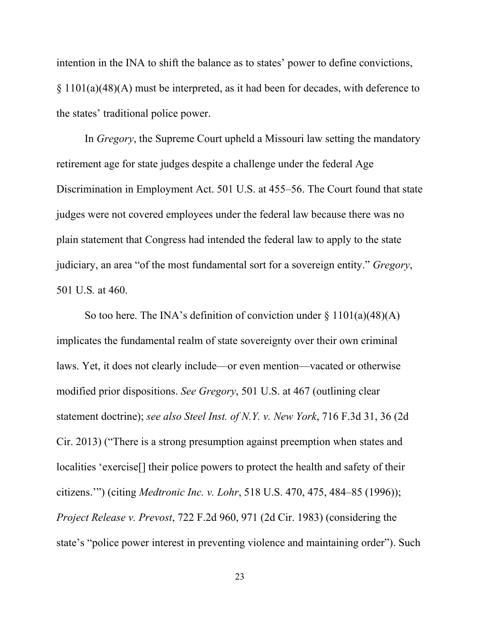intention in the INA to shift the balance as to states' power to define convictions, § 1101(a)(48)(A) must be interpreted, as it had been for decades, with deference to the states' traditional police power.

In *Gregory*, the Supreme Court upheld a Missouri law setting the mandatory retirement age for state judges despite a challenge under the federal Age Discrimination in Employment Act. 501 U.S. at 455–56. The Court found that state judges were not covered employees under the federal law because there was no plain statement that Congress had intended the federal law to apply to the state judiciary, an area "of the most fundamental sort for a sovereign entity." *Gregory*, 501 U.S*.* at 460.

So too here. The INA's definition of conviction under  $\S 1101(a)(48)(A)$ implicates the fundamental realm of state sovereignty over their own criminal laws. Yet, it does not clearly include—or even mention—vacated or otherwise modified prior dispositions. *See Gregory*, 501 U.S. at 467 (outlining clear statement doctrine); *see also Steel Inst. of N.Y. v. New York*, 716 F.3d 31, 36 (2d Cir. 2013) ("There is a strong presumption against preemption when states and localities 'exercise[] their police powers to protect the health and safety of their citizens.'") (citing *Medtronic Inc. v. Lohr*, 518 U.S. 470, 475, 484–85 (1996)); *Project Release v. Prevost*, 722 F.2d 960, 971 (2d Cir. 1983) (considering the state's "police power interest in preventing violence and maintaining order"). Such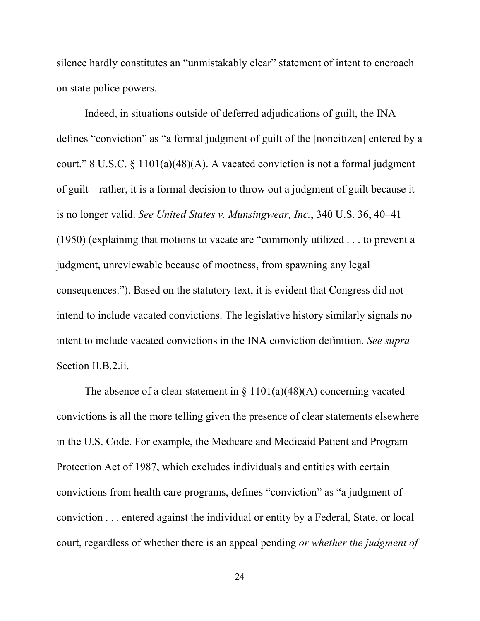silence hardly constitutes an "unmistakably clear" statement of intent to encroach on state police powers.

Indeed, in situations outside of deferred adjudications of guilt, the INA defines "conviction" as "a formal judgment of guilt of the [noncitizen] entered by a court." 8 U.S.C.  $\S 1101(a)(48)(A)$ . A vacated conviction is not a formal judgment of guilt—rather, it is a formal decision to throw out a judgment of guilt because it is no longer valid. *See United States v. Munsingwear, Inc.*, 340 U.S. 36, 40–41 (1950) (explaining that motions to vacate are "commonly utilized . . . to prevent a judgment, unreviewable because of mootness, from spawning any legal consequences."). Based on the statutory text, it is evident that Congress did not intend to include vacated convictions. The legislative history similarly signals no intent to include vacated convictions in the INA conviction definition. *See supra*  Section II.B.2.ii.

The absence of a clear statement in  $\S 1101(a)(48)(A)$  concerning vacated convictions is all the more telling given the presence of clear statements elsewhere in the U.S. Code. For example, the Medicare and Medicaid Patient and Program Protection Act of 1987, which excludes individuals and entities with certain convictions from health care programs, defines "conviction" as "a judgment of conviction . . . entered against the individual or entity by a Federal, State, or local court, regardless of whether there is an appeal pending *or whether the judgment of* 

24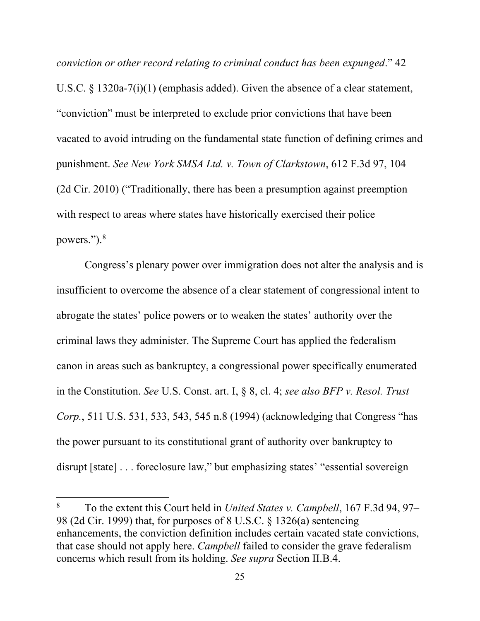*conviction or other record relating to criminal conduct has been expunged*." 42 U.S.C. § 1320a-7(i)(1) (emphasis added). Given the absence of a clear statement, "conviction" must be interpreted to exclude prior convictions that have been vacated to avoid intruding on the fundamental state function of defining crimes and punishment. *See New York SMSA Ltd. v. Town of Clarkstown*, 612 F.3d 97, 104 (2d Cir. 2010) ("Traditionally, there has been a presumption against preemption with respect to areas where states have historically exercised their police powers.").<sup>[8](#page-31-0)</sup>

Congress's plenary power over immigration does not alter the analysis and is insufficient to overcome the absence of a clear statement of congressional intent to abrogate the states' police powers or to weaken the states' authority over the criminal laws they administer. The Supreme Court has applied the federalism canon in areas such as bankruptcy, a congressional power specifically enumerated in the Constitution. *See* U.S. Const. art. I, § 8, cl. 4; *see also BFP v. Resol. Trust Corp.*, 511 U.S. 531, 533, 543, 545 n.8 (1994) (acknowledging that Congress "has the power pursuant to its constitutional grant of authority over bankruptcy to disrupt [state] . . . foreclosure law," but emphasizing states' "essential sovereign

l

<span id="page-31-0"></span><sup>8</sup> To the extent this Court held in *United States v. Campbell*, 167 F.3d 94, 97– 98 (2d Cir. 1999) that, for purposes of 8 U.S.C. § 1326(a) sentencing enhancements, the conviction definition includes certain vacated state convictions, that case should not apply here. *Campbell* failed to consider the grave federalism concerns which result from its holding. *See supra* Section II.B.4.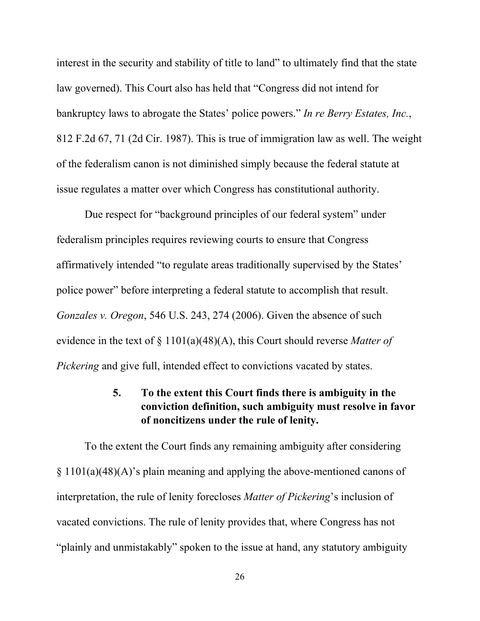interest in the security and stability of title to land" to ultimately find that the state law governed). This Court also has held that "Congress did not intend for bankruptcy laws to abrogate the States' police powers." *In re Berry Estates, Inc.*, 812 F.2d 67, 71 (2d Cir. 1987). This is true of immigration law as well. The weight of the federalism canon is not diminished simply because the federal statute at issue regulates a matter over which Congress has constitutional authority.

Due respect for "background principles of our federal system" under federalism principles requires reviewing courts to ensure that Congress affirmatively intended "to regulate areas traditionally supervised by the States' police power" before interpreting a federal statute to accomplish that result. *Gonzales v. Oregon*, 546 U.S. 243, 274 (2006). Given the absence of such evidence in the text of § 1101(a)(48)(A), this Court should reverse *Matter of Pickering* and give full, intended effect to convictions vacated by states.

## **5. To the extent this Court finds there is ambiguity in the conviction definition, such ambiguity must resolve in favor of noncitizens under the rule of lenity.**

<span id="page-32-0"></span>To the extent the Court finds any remaining ambiguity after considering § 1101(a)(48)(A)'s plain meaning and applying the above-mentioned canons of interpretation, the rule of lenity forecloses *Matter of Pickering*'s inclusion of vacated convictions. The rule of lenity provides that, where Congress has not "plainly and unmistakably" spoken to the issue at hand, any statutory ambiguity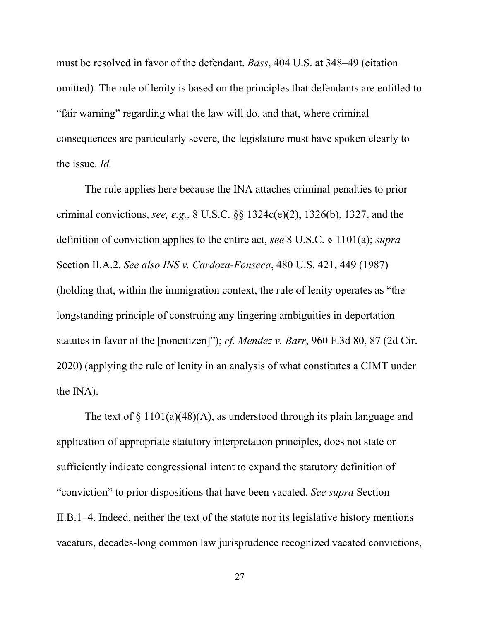must be resolved in favor of the defendant. *Bass*, 404 U.S. at 348–49 (citation omitted). The rule of lenity is based on the principles that defendants are entitled to "fair warning" regarding what the law will do, and that, where criminal consequences are particularly severe, the legislature must have spoken clearly to the issue. *Id.*

The rule applies here because the INA attaches criminal penalties to prior criminal convictions, *see, e.g.*, 8 U.S.C. §§ 1324c(e)(2), 1326(b), 1327, and the definition of conviction applies to the entire act, *see* 8 U.S.C. § 1101(a); *supra* Section II.A.2. *See also INS v. Cardoza-Fonseca*, 480 U.S. 421, 449 (1987) (holding that, within the immigration context, the rule of lenity operates as "the longstanding principle of construing any lingering ambiguities in deportation statutes in favor of the [noncitizen]"); *cf. Mendez v. Barr*, 960 F.3d 80, 87 (2d Cir. 2020) (applying the rule of lenity in an analysis of what constitutes a CIMT under the INA).

The text of  $\S 1101(a)(48)(A)$ , as understood through its plain language and application of appropriate statutory interpretation principles, does not state or sufficiently indicate congressional intent to expand the statutory definition of "conviction" to prior dispositions that have been vacated. *See supra* Section II.B.1–4. Indeed, neither the text of the statute nor its legislative history mentions vacaturs, decades-long common law jurisprudence recognized vacated convictions,

27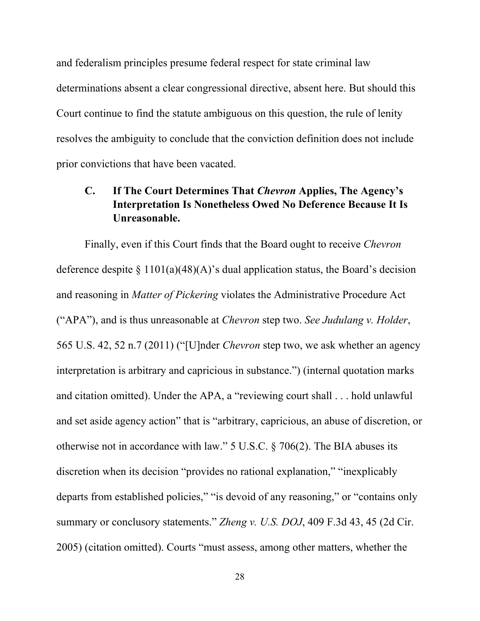and federalism principles presume federal respect for state criminal law determinations absent a clear congressional directive, absent here. But should this Court continue to find the statute ambiguous on this question, the rule of lenity resolves the ambiguity to conclude that the conviction definition does not include prior convictions that have been vacated.

## <span id="page-34-0"></span>**C. If The Court Determines That** *Chevron* **Applies, The Agency's Interpretation Is Nonetheless Owed No Deference Because It Is Unreasonable.**

Finally, even if this Court finds that the Board ought to receive *Chevron* deference despite  $\S 1101(a)(48)(A)$ 's dual application status, the Board's decision and reasoning in *Matter of Pickering* violates the Administrative Procedure Act ("APA"), and is thus unreasonable at *Chevron* step two. *See Judulang v. Holder*, 565 U.S. 42, 52 n.7 (2011) ("[U]nder *Chevron* step two, we ask whether an agency interpretation is arbitrary and capricious in substance.") (internal quotation marks and citation omitted). Under the APA, a "reviewing court shall . . . hold unlawful and set aside agency action" that is "arbitrary, capricious, an abuse of discretion, or otherwise not in accordance with law." 5 U.S.C. § 706(2). The BIA abuses its discretion when its decision "provides no rational explanation," "inexplicably departs from established policies," "is devoid of any reasoning," or "contains only summary or conclusory statements." *Zheng v. U.S. DOJ*, 409 F.3d 43, 45 (2d Cir. 2005) (citation omitted). Courts "must assess, among other matters, whether the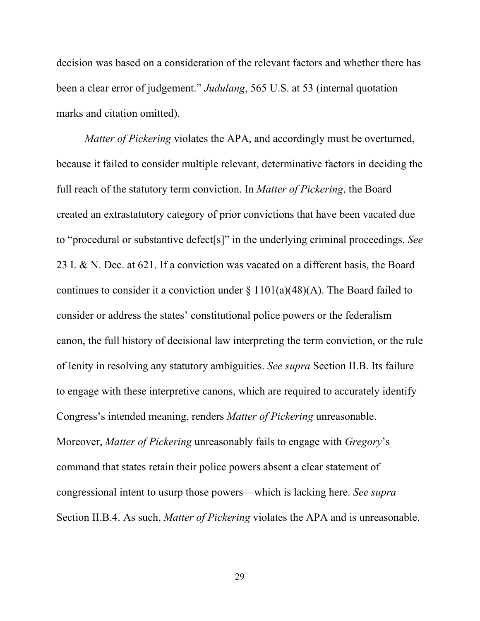decision was based on a consideration of the relevant factors and whether there has been a clear error of judgement." *Judulang*, 565 U.S. at 53 (internal quotation marks and citation omitted).

*Matter of Pickering* violates the APA, and accordingly must be overturned, because it failed to consider multiple relevant, determinative factors in deciding the full reach of the statutory term conviction. In *Matter of Pickering*, the Board created an extrastatutory category of prior convictions that have been vacated due to "procedural or substantive defect[s]" in the underlying criminal proceedings. *See* 23 I. & N. Dec. at 621. If a conviction was vacated on a different basis, the Board continues to consider it a conviction under  $\S 1101(a)(48)(A)$ . The Board failed to consider or address the states' constitutional police powers or the federalism canon, the full history of decisional law interpreting the term conviction, or the rule of lenity in resolving any statutory ambiguities. *See supra* Section II.B. Its failure to engage with these interpretive canons, which are required to accurately identify Congress's intended meaning, renders *Matter of Pickering* unreasonable. Moreover, *Matter of Pickering* unreasonably fails to engage with *Gregory*'s command that states retain their police powers absent a clear statement of congressional intent to usurp those powers—which is lacking here. *See supra*  Section II.B.4. As such, *Matter of Pickering* violates the APA and is unreasonable.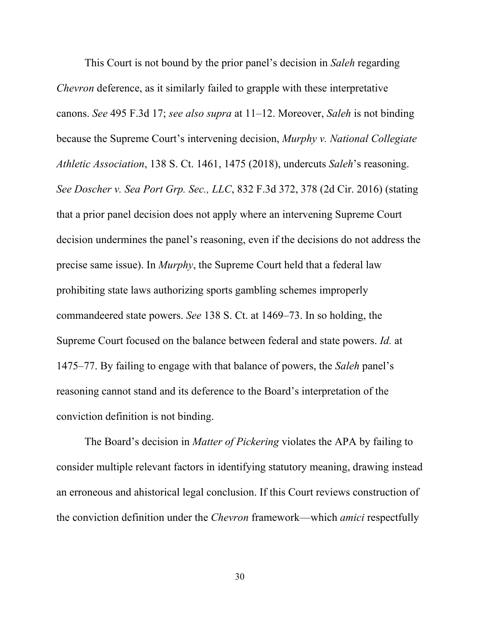This Court is not bound by the prior panel's decision in *Saleh* regarding *Chevron* deference, as it similarly failed to grapple with these interpretative canons. *See* 495 F.3d 17; *see also supra* at 11–12. Moreover, *Saleh* is not binding because the Supreme Court's intervening decision, *Murphy v. National Collegiate Athletic Association*, 138 S. Ct. 1461, 1475 (2018), undercuts *Saleh*'s reasoning. *See Doscher v. Sea Port Grp. Sec., LLC*, 832 F.3d 372, 378 (2d Cir. 2016) (stating that a prior panel decision does not apply where an intervening Supreme Court decision undermines the panel's reasoning, even if the decisions do not address the precise same issue). In *Murphy*, the Supreme Court held that a federal law prohibiting state laws authorizing sports gambling schemes improperly commandeered state powers. *See* 138 S. Ct. at 1469–73. In so holding, the Supreme Court focused on the balance between federal and state powers. *Id.* at 1475–77. By failing to engage with that balance of powers, the *Saleh* panel's reasoning cannot stand and its deference to the Board's interpretation of the conviction definition is not binding.

The Board's decision in *Matter of Pickering* violates the APA by failing to consider multiple relevant factors in identifying statutory meaning, drawing instead an erroneous and ahistorical legal conclusion. If this Court reviews construction of the conviction definition under the *Chevron* framework—which *amici* respectfully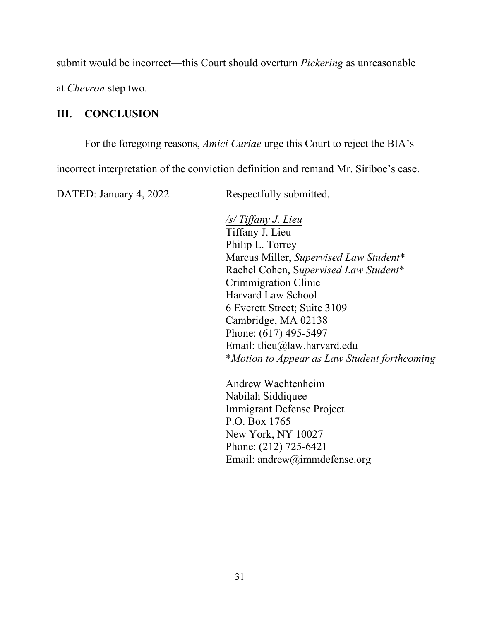submit would be incorrect—this Court should overturn *Pickering* as unreasonable

at *Chevron* step two.

#### <span id="page-37-0"></span>**III. CONCLUSION**

For the foregoing reasons, *Amici Curiae* urge this Court to reject the BIA's

incorrect interpretation of the conviction definition and remand Mr. Siriboe's case.

DATED: January 4, 2022 Respectfully submitted,

*/s/ Tiffany J. Lieu* Tiffany J. Lieu Philip L. Torrey Marcus Miller, *Supervised Law Student*\* Rachel Cohen, S*upervised Law Student*\* Crimmigration Clinic Harvard Law School 6 Everett Street; Suite 3109 Cambridge, MA 02138 Phone: (617) 495-5497 Email: tlieu@law.harvard.edu \**Motion to Appear as Law Student forthcoming*

Andrew Wachtenheim Nabilah Siddiquee Immigrant Defense Project P.O. Box 1765 New York, NY 10027 Phone: (212) 725-6421 Email: andrew@immdefense.org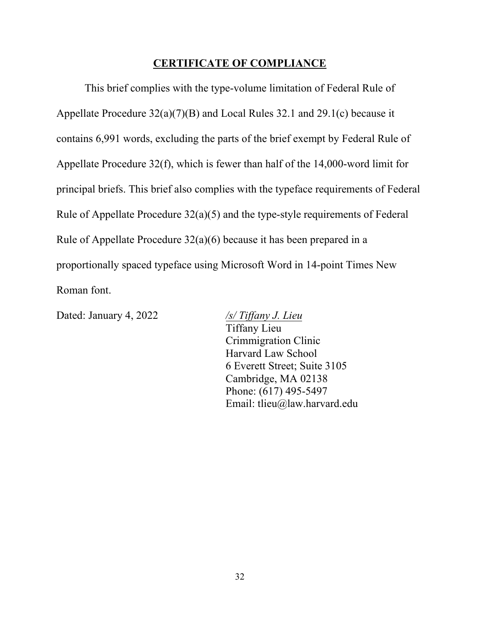#### **CERTIFICATE OF COMPLIANCE**

<span id="page-38-0"></span>This brief complies with the type-volume limitation of Federal Rule of Appellate Procedure 32(a)(7)(B) and Local Rules 32.1 and 29.1(c) because it contains 6,991 words, excluding the parts of the brief exempt by Federal Rule of Appellate Procedure 32(f), which is fewer than half of the 14,000-word limit for principal briefs. This brief also complies with the typeface requirements of Federal Rule of Appellate Procedure 32(a)(5) and the type-style requirements of Federal Rule of Appellate Procedure 32(a)(6) because it has been prepared in a proportionally spaced typeface using Microsoft Word in 14-point Times New Roman font.

Dated: January 4, 2022 */s/ Tiffany J. Lieu*

Tiffany Lieu Crimmigration Clinic Harvard Law School 6 Everett Street; Suite 3105 Cambridge, MA 02138 Phone: (617) 495-5497 Email: tlieu@law.harvard.edu